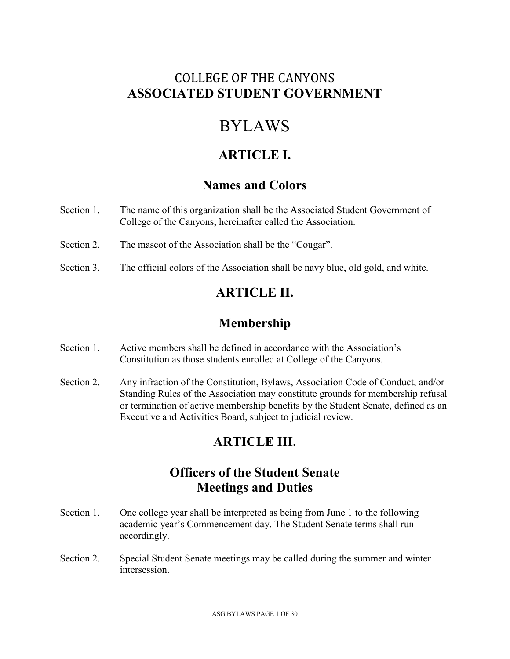# COLLEGE OF THE CANYONS **ASSOCIATED STUDENT GOVERNMENT**

# BYLAWS

## **ARTICLE I.**

### **Names and Colors**

- Section 1. The name of this organization shall be the Associated Student Government of College of the Canyons, hereinafter called the Association.
- Section 2. The mascot of the Association shall be the "Cougar".
- Section 3. The official colors of the Association shall be navy blue, old gold, and white.

# **ARTICLE II.**

# **Membership**

- Section 1. Active members shall be defined in accordance with the Association's Constitution as those students enrolled at College of the Canyons.
- Section 2. Any infraction of the Constitution, Bylaws, Association Code of Conduct, and/or Standing Rules of the Association may constitute grounds for membership refusal or termination of active membership benefits by the Student Senate, defined as an Executive and Activities Board, subject to judicial review.

# **ARTICLE III.**

# **Officers of the Student Senate Meetings and Duties**

- Section 1. One college year shall be interpreted as being from June 1 to the following academic year's Commencement day. The Student Senate terms shall run accordingly.
- Section 2. Special Student Senate meetings may be called during the summer and winter intersession.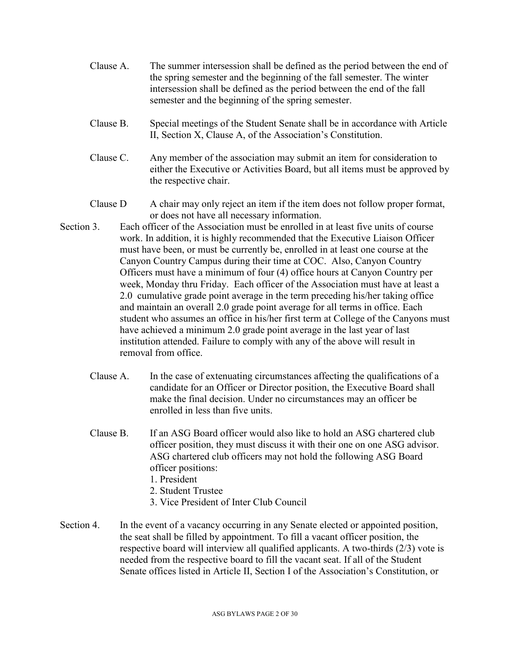- Clause A. The summer intersession shall be defined as the period between the end of the spring semester and the beginning of the fall semester. The winter intersession shall be defined as the period between the end of the fall semester and the beginning of the spring semester.
- Clause B. Special meetings of the Student Senate shall be in accordance with Article II, Section X, Clause A, of the Association's Constitution.
- Clause C. Any member of the association may submit an item for consideration to either the Executive or Activities Board, but all items must be approved by the respective chair.
- Clause D A chair may only reject an item if the item does not follow proper format, or does not have all necessary information.
- Section 3. Each officer of the Association must be enrolled in at least five units of course work. In addition, it is highly recommended that the Executive Liaison Officer must have been, or must be currently be, enrolled in at least one course at the Canyon Country Campus during their time at COC. Also, Canyon Country Officers must have a minimum of four (4) office hours at Canyon Country per week, Monday thru Friday. Each officer of the Association must have at least a 2.0 cumulative grade point average in the term preceding his/her taking office and maintain an overall 2.0 grade point average for all terms in office. Each student who assumes an office in his/her first term at College of the Canyons must have achieved a minimum 2.0 grade point average in the last year of last institution attended. Failure to comply with any of the above will result in removal from office.
	- Clause A. In the case of extenuating circumstances affecting the qualifications of a candidate for an Officer or Director position, the Executive Board shall make the final decision. Under no circumstances may an officer be enrolled in less than five units.
	- Clause B. If an ASG Board officer would also like to hold an ASG chartered club officer position, they must discuss it with their one on one ASG advisor. ASG chartered club officers may not hold the following ASG Board officer positions:
		- 1. President
		- 2. Student Trustee
		- 3. Vice President of Inter Club Council
- Section 4. In the event of a vacancy occurring in any Senate elected or appointed position, the seat shall be filled by appointment. To fill a vacant officer position, the respective board will interview all qualified applicants. A two-thirds (2/3) vote is needed from the respective board to fill the vacant seat. If all of the Student Senate offices listed in Article II, Section I of the Association's Constitution, or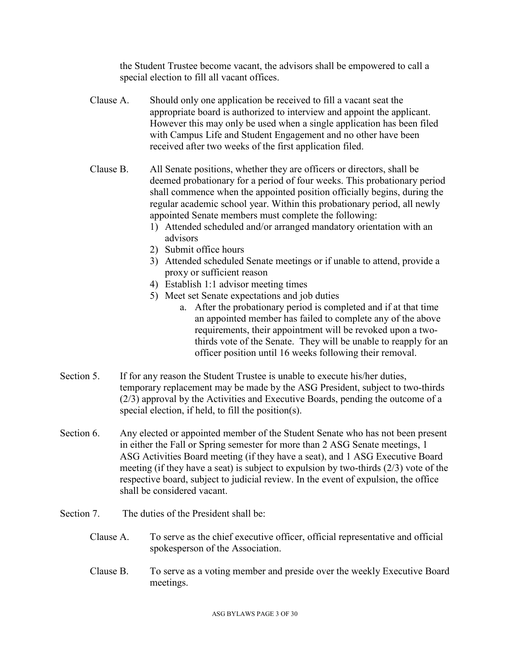the Student Trustee become vacant, the advisors shall be empowered to call a special election to fill all vacant offices.

- Clause A. Should only one application be received to fill a vacant seat the appropriate board is authorized to interview and appoint the applicant. However this may only be used when a single application has been filed with Campus Life and Student Engagement and no other have been received after two weeks of the first application filed.
- Clause B. All Senate positions, whether they are officers or directors, shall be deemed probationary for a period of four weeks. This probationary period shall commence when the appointed position officially begins, during the regular academic school year. Within this probationary period, all newly appointed Senate members must complete the following:
	- 1) Attended scheduled and/or arranged mandatory orientation with an advisors
	- 2) Submit office hours
	- 3) Attended scheduled Senate meetings or if unable to attend, provide a proxy or sufficient reason
	- 4) Establish 1:1 advisor meeting times
	- 5) Meet set Senate expectations and job duties
		- a. After the probationary period is completed and if at that time an appointed member has failed to complete any of the above requirements, their appointment will be revoked upon a twothirds vote of the Senate. They will be unable to reapply for an officer position until 16 weeks following their removal.
- Section 5. If for any reason the Student Trustee is unable to execute his/her duties, temporary replacement may be made by the ASG President, subject to two-thirds (2/3) approval by the Activities and Executive Boards, pending the outcome of a special election, if held, to fill the position(s).
- Section 6. Any elected or appointed member of the Student Senate who has not been present in either the Fall or Spring semester for more than 2 ASG Senate meetings, 1 ASG Activities Board meeting (if they have a seat), and 1 ASG Executive Board meeting (if they have a seat) is subject to expulsion by two-thirds (2/3) vote of the respective board, subject to judicial review. In the event of expulsion, the office shall be considered vacant.
- Section 7. The duties of the President shall be:
	- Clause A. To serve as the chief executive officer, official representative and official spokesperson of the Association.
	- Clause B. To serve as a voting member and preside over the weekly Executive Board meetings.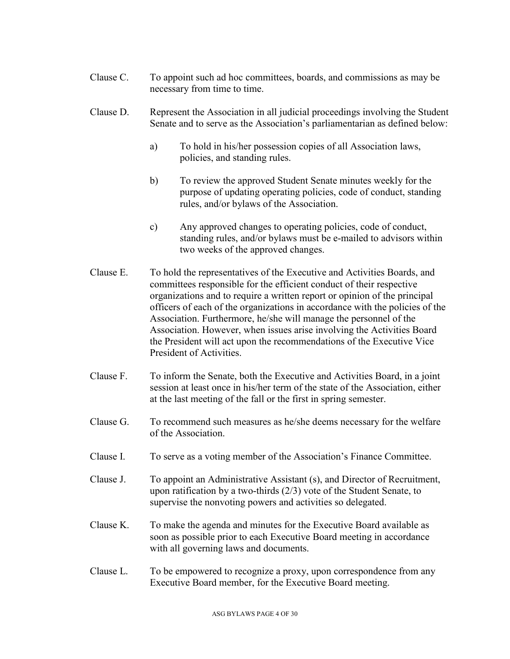Clause C. To appoint such ad hoc committees, boards, and commissions as may be necessary from time to time.

### Clause D. Represent the Association in all judicial proceedings involving the Student Senate and to serve as the Association's parliamentarian as defined below:

- a) To hold in his/her possession copies of all Association laws, policies, and standing rules.
- b) To review the approved Student Senate minutes weekly for the purpose of updating operating policies, code of conduct, standing rules, and/or bylaws of the Association.
- c) Any approved changes to operating policies, code of conduct, standing rules, and/or bylaws must be e-mailed to advisors within two weeks of the approved changes.
- Clause E. To hold the representatives of the Executive and Activities Boards, and committees responsible for the efficient conduct of their respective organizations and to require a written report or opinion of the principal officers of each of the organizations in accordance with the policies of the Association. Furthermore, he/she will manage the personnel of the Association. However, when issues arise involving the Activities Board the President will act upon the recommendations of the Executive Vice President of Activities.
- Clause F. To inform the Senate, both the Executive and Activities Board, in a joint session at least once in his/her term of the state of the Association, either at the last meeting of the fall or the first in spring semester.
- Clause G. To recommend such measures as he/she deems necessary for the welfare of the Association.
- Clause I. To serve as a voting member of the Association's Finance Committee.
- Clause J. To appoint an Administrative Assistant (s), and Director of Recruitment, upon ratification by a two-thirds (2/3) vote of the Student Senate, to supervise the nonvoting powers and activities so delegated.
- Clause K. To make the agenda and minutes for the Executive Board available as soon as possible prior to each Executive Board meeting in accordance with all governing laws and documents.
- Clause L. To be empowered to recognize a proxy, upon correspondence from any Executive Board member, for the Executive Board meeting.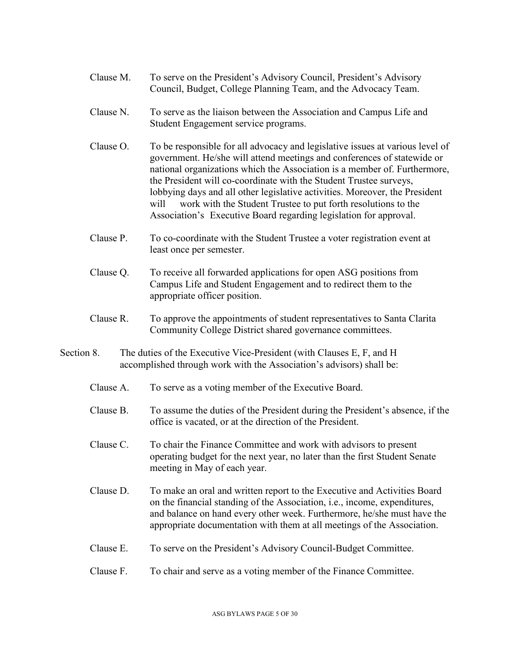- Clause M. To serve on the President's Advisory Council, President's Advisory Council, Budget, College Planning Team, and the Advocacy Team.
- Clause N. To serve as the liaison between the Association and Campus Life and Student Engagement service programs.
- Clause O. To be responsible for all advocacy and legislative issues at various level of government. He/she will attend meetings and conferences of statewide or national organizations which the Association is a member of. Furthermore, the President will co-coordinate with the Student Trustee surveys, lobbying days and all other legislative activities. Moreover, the President will work with the Student Trustee to put forth resolutions to the Association's Executive Board regarding legislation for approval.
- Clause P. To co-coordinate with the Student Trustee a voter registration event at least once per semester.
- Clause Q. To receive all forwarded applications for open ASG positions from Campus Life and Student Engagement and to redirect them to the appropriate officer position.
- Clause R. To approve the appointments of student representatives to Santa Clarita Community College District shared governance committees.
- Section 8. The duties of the Executive Vice-President (with Clauses E, F, and H accomplished through work with the Association's advisors) shall be:
	- Clause A. To serve as a voting member of the Executive Board.
	- Clause B. To assume the duties of the President during the President's absence, if the office is vacated, or at the direction of the President.
	- Clause C. To chair the Finance Committee and work with advisors to present operating budget for the next year, no later than the first Student Senate meeting in May of each year.
	- Clause D. To make an oral and written report to the Executive and Activities Board on the financial standing of the Association, i.e., income, expenditures, and balance on hand every other week. Furthermore, he/she must have the appropriate documentation with them at all meetings of the Association.
	- Clause E. To serve on the President's Advisory Council-Budget Committee.
	- Clause F. To chair and serve as a voting member of the Finance Committee.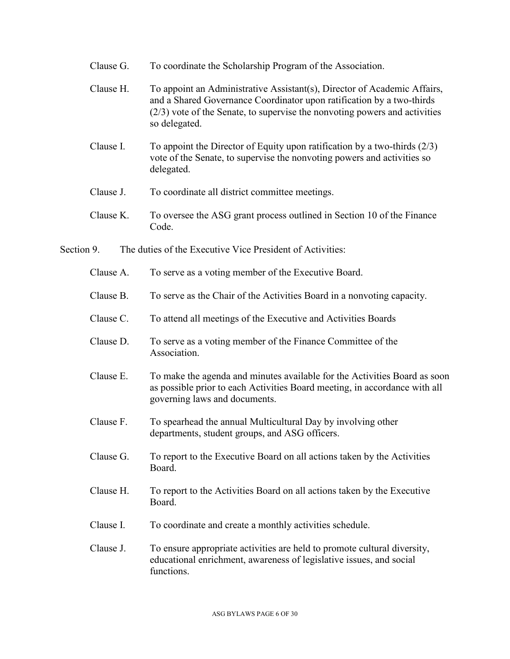- Clause G. To coordinate the Scholarship Program of the Association.
- Clause H. To appoint an Administrative Assistant(s), Director of Academic Affairs, and a Shared Governance Coordinator upon ratification by a two-thirds (2/3) vote of the Senate, to supervise the nonvoting powers and activities so delegated.
- Clause I. To appoint the Director of Equity upon ratification by a two-thirds (2/3) vote of the Senate, to supervise the nonvoting powers and activities so delegated.
- Clause J. To coordinate all district committee meetings.
- Clause K. To oversee the ASG grant process outlined in Section 10 of the Finance Code.
- Section 9. The duties of the Executive Vice President of Activities:
	- Clause A. To serve as a voting member of the Executive Board.
	- Clause B. To serve as the Chair of the Activities Board in a nonvoting capacity.
	- Clause C. To attend all meetings of the Executive and Activities Boards
	- Clause D. To serve as a voting member of the Finance Committee of the Association.
	- Clause E. To make the agenda and minutes available for the Activities Board as soon as possible prior to each Activities Board meeting, in accordance with all governing laws and documents.
	- Clause F. To spearhead the annual Multicultural Day by involving other departments, student groups, and ASG officers.
	- Clause G. To report to the Executive Board on all actions taken by the Activities Board.
	- Clause H. To report to the Activities Board on all actions taken by the Executive Board.
	- Clause I. To coordinate and create a monthly activities schedule.
	- Clause J. To ensure appropriate activities are held to promote cultural diversity, educational enrichment, awareness of legislative issues, and social functions.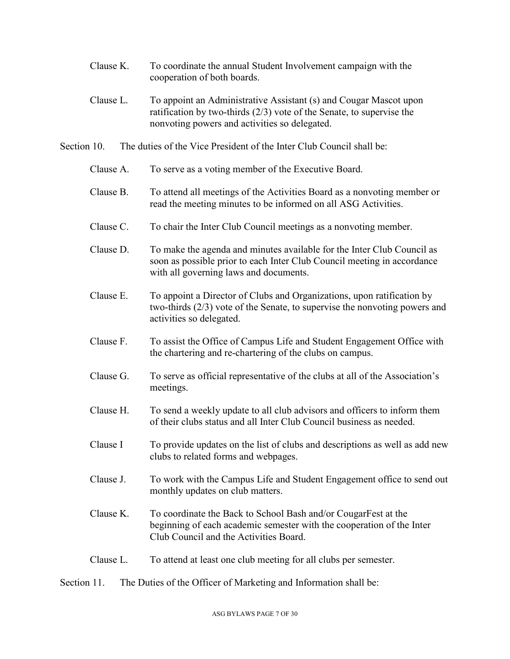- Clause K. To coordinate the annual Student Involvement campaign with the cooperation of both boards.
- Clause L. To appoint an Administrative Assistant (s) and Cougar Mascot upon ratification by two-thirds (2/3) vote of the Senate, to supervise the nonvoting powers and activities so delegated.
- Section 10. The duties of the Vice President of the Inter Club Council shall be:
	- Clause A. To serve as a voting member of the Executive Board.
	- Clause B. To attend all meetings of the Activities Board as a nonvoting member or read the meeting minutes to be informed on all ASG Activities.
	- Clause C. To chair the Inter Club Council meetings as a nonvoting member.
	- Clause D. To make the agenda and minutes available for the Inter Club Council as soon as possible prior to each Inter Club Council meeting in accordance with all governing laws and documents.
	- Clause E. To appoint a Director of Clubs and Organizations, upon ratification by two-thirds (2/3) vote of the Senate, to supervise the nonvoting powers and activities so delegated.
	- Clause F. To assist the Office of Campus Life and Student Engagement Office with the chartering and re-chartering of the clubs on campus.
	- Clause G. To serve as official representative of the clubs at all of the Association's meetings.
	- Clause H. To send a weekly update to all club advisors and officers to inform them of their clubs status and all Inter Club Council business as needed.
	- Clause I To provide updates on the list of clubs and descriptions as well as add new clubs to related forms and webpages.
	- Clause J. To work with the Campus Life and Student Engagement office to send out monthly updates on club matters.
	- Clause K. To coordinate the Back to School Bash and/or CougarFest at the beginning of each academic semester with the cooperation of the Inter Club Council and the Activities Board.
	- Clause L. To attend at least one club meeting for all clubs per semester.
- Section 11. The Duties of the Officer of Marketing and Information shall be: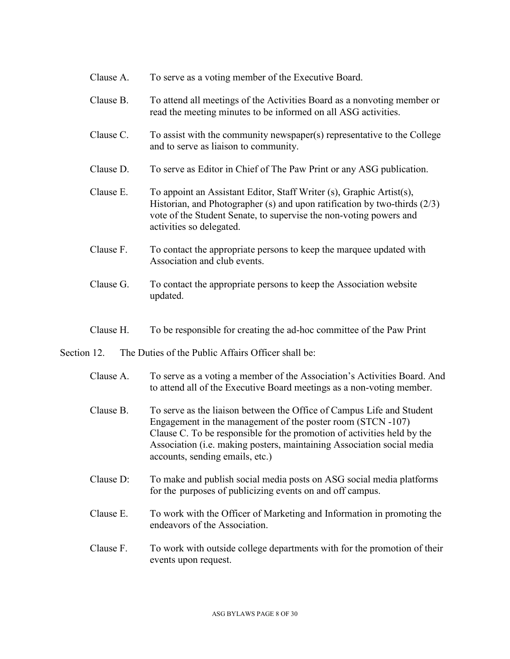- Clause A. To serve as a voting member of the Executive Board.
- Clause B. To attend all meetings of the Activities Board as a nonvoting member or read the meeting minutes to be informed on all ASG activities.
- Clause C. To assist with the community newspaper(s) representative to the College and to serve as liaison to community.
- Clause D. To serve as Editor in Chief of The Paw Print or any ASG publication.
- Clause E. To appoint an Assistant Editor, Staff Writer (s), Graphic Artist(s), Historian, and Photographer (s) and upon ratification by two-thirds (2/3) vote of the Student Senate, to supervise the non-voting powers and activities so delegated.
- Clause F. To contact the appropriate persons to keep the marquee updated with Association and club events.
- Clause G. To contact the appropriate persons to keep the Association website updated.
- Clause H. To be responsible for creating the ad-hoc committee of the Paw Print

### Section 12. The Duties of the Public Affairs Officer shall be:

- Clause A. To serve as a voting a member of the Association's Activities Board. And to attend all of the Executive Board meetings as a non-voting member.
- Clause B. To serve as the liaison between the Office of Campus Life and Student Engagement in the management of the poster room (STCN -107) Clause C. To be responsible for the promotion of activities held by the Association (i.e. making posters, maintaining Association social media accounts, sending emails, etc.)
- Clause D: To make and publish social media posts on ASG social media platforms for the purposes of publicizing events on and off campus.
- Clause E. To work with the Officer of Marketing and Information in promoting the endeavors of the Association.
- Clause F. To work with outside college departments with for the promotion of their events upon request.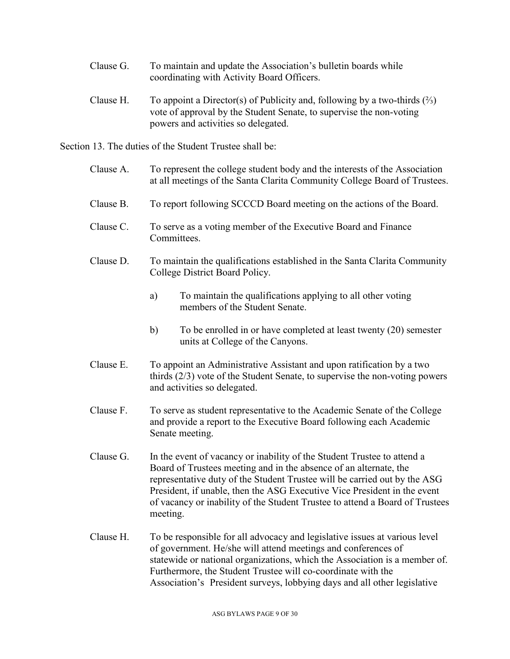- Clause G. To maintain and update the Association's bulletin boards while coordinating with Activity Board Officers.
- Clause H. To appoint a Director(s) of Publicity and, following by a two-thirds  $(\frac{2}{3})$ vote of approval by the Student Senate, to supervise the non-voting powers and activities so delegated.

Section 13. The duties of the Student Trustee shall be:

- Clause A. To represent the college student body and the interests of the Association at all meetings of the Santa Clarita Community College Board of Trustees.
- Clause B. To report following SCCCD Board meeting on the actions of the Board.
- Clause C. To serve as a voting member of the Executive Board and Finance Committees.
- Clause D. To maintain the qualifications established in the Santa Clarita Community College District Board Policy.
	- a) To maintain the qualifications applying to all other voting members of the Student Senate.
	- b) To be enrolled in or have completed at least twenty (20) semester units at College of the Canyons.
- Clause E. To appoint an Administrative Assistant and upon ratification by a two thirds (2/3) vote of the Student Senate, to supervise the non-voting powers and activities so delegated.
- Clause F. To serve as student representative to the Academic Senate of the College and provide a report to the Executive Board following each Academic Senate meeting.
- Clause G. In the event of vacancy or inability of the Student Trustee to attend a Board of Trustees meeting and in the absence of an alternate, the representative duty of the Student Trustee will be carried out by the ASG President, if unable, then the ASG Executive Vice President in the event of vacancy or inability of the Student Trustee to attend a Board of Trustees meeting.
- Clause H. To be responsible for all advocacy and legislative issues at various level of government. He/she will attend meetings and conferences of statewide or national organizations, which the Association is a member of. Furthermore, the Student Trustee will co-coordinate with the Association's President surveys, lobbying days and all other legislative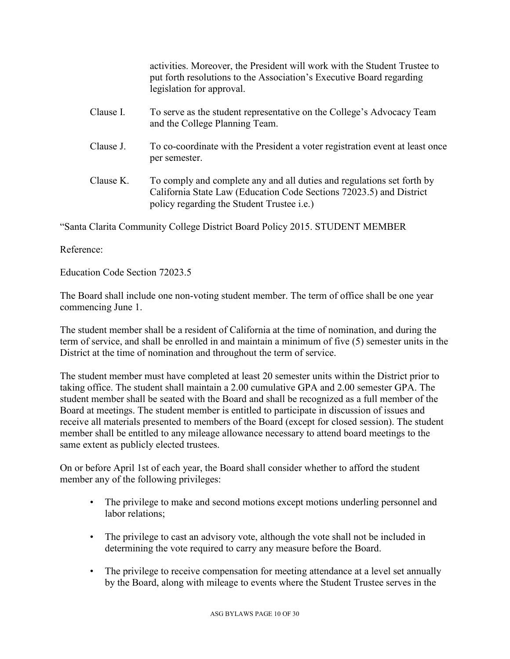activities. Moreover, the President will work with the Student Trustee to put forth resolutions to the Association's Executive Board regarding legislation for approval.

- Clause I. To serve as the student representative on the College's Advocacy Team and the College Planning Team.
- Clause J. To co-coordinate with the President a voter registration event at least once per semester.
- Clause K. To comply and complete any and all duties and regulations set forth by California State Law (Education Code Sections 72023.5) and District policy regarding the Student Trustee i.e.)

"Santa Clarita Community College District Board Policy 2015. STUDENT MEMBER

Reference:

Education Code Section 72023.5

The Board shall include one non-voting student member. The term of office shall be one year commencing June 1.

The student member shall be a resident of California at the time of nomination, and during the term of service, and shall be enrolled in and maintain a minimum of five (5) semester units in the District at the time of nomination and throughout the term of service.

The student member must have completed at least 20 semester units within the District prior to taking office. The student shall maintain a 2.00 cumulative GPA and 2.00 semester GPA. The student member shall be seated with the Board and shall be recognized as a full member of the Board at meetings. The student member is entitled to participate in discussion of issues and receive all materials presented to members of the Board (except for closed session). The student member shall be entitled to any mileage allowance necessary to attend board meetings to the same extent as publicly elected trustees.

On or before April 1st of each year, the Board shall consider whether to afford the student member any of the following privileges:

- The privilege to make and second motions except motions underling personnel and labor relations;
- The privilege to cast an advisory vote, although the vote shall not be included in determining the vote required to carry any measure before the Board.
- The privilege to receive compensation for meeting attendance at a level set annually by the Board, along with mileage to events where the Student Trustee serves in the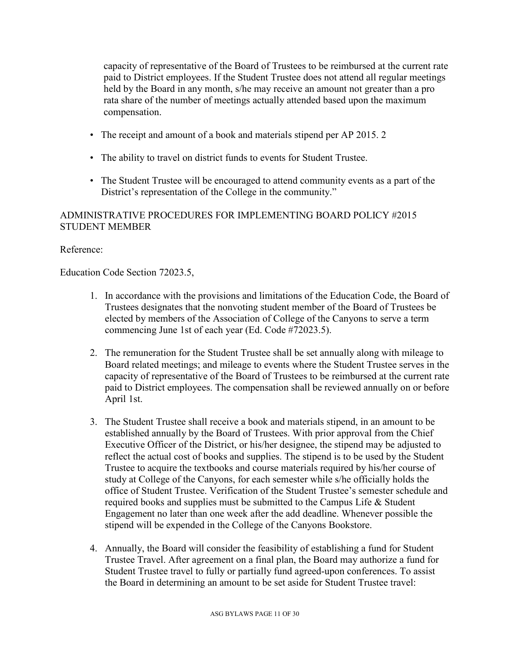capacity of representative of the Board of Trustees to be reimbursed at the current rate paid to District employees. If the Student Trustee does not attend all regular meetings held by the Board in any month, s/he may receive an amount not greater than a pro rata share of the number of meetings actually attended based upon the maximum compensation.

- The receipt and amount of a book and materials stipend per AP 2015. 2
- The ability to travel on district funds to events for Student Trustee.
- The Student Trustee will be encouraged to attend community events as a part of the District's representation of the College in the community."

### ADMINISTRATIVE PROCEDURES FOR IMPLEMENTING BOARD POLICY #2015 STUDENT MEMBER

### Reference:

Education Code Section 72023.5,

- 1. In accordance with the provisions and limitations of the Education Code, the Board of Trustees designates that the nonvoting student member of the Board of Trustees be elected by members of the Association of College of the Canyons to serve a term commencing June 1st of each year (Ed. Code #72023.5).
- 2. The remuneration for the Student Trustee shall be set annually along with mileage to Board related meetings; and mileage to events where the Student Trustee serves in the capacity of representative of the Board of Trustees to be reimbursed at the current rate paid to District employees. The compensation shall be reviewed annually on or before April 1st.
- 3. The Student Trustee shall receive a book and materials stipend, in an amount to be established annually by the Board of Trustees. With prior approval from the Chief Executive Officer of the District, or his/her designee, the stipend may be adjusted to reflect the actual cost of books and supplies. The stipend is to be used by the Student Trustee to acquire the textbooks and course materials required by his/her course of study at College of the Canyons, for each semester while s/he officially holds the office of Student Trustee. Verification of the Student Trustee's semester schedule and required books and supplies must be submitted to the Campus Life & Student Engagement no later than one week after the add deadline. Whenever possible the stipend will be expended in the College of the Canyons Bookstore.
- 4. Annually, the Board will consider the feasibility of establishing a fund for Student Trustee Travel. After agreement on a final plan, the Board may authorize a fund for Student Trustee travel to fully or partially fund agreed-upon conferences. To assist the Board in determining an amount to be set aside for Student Trustee travel: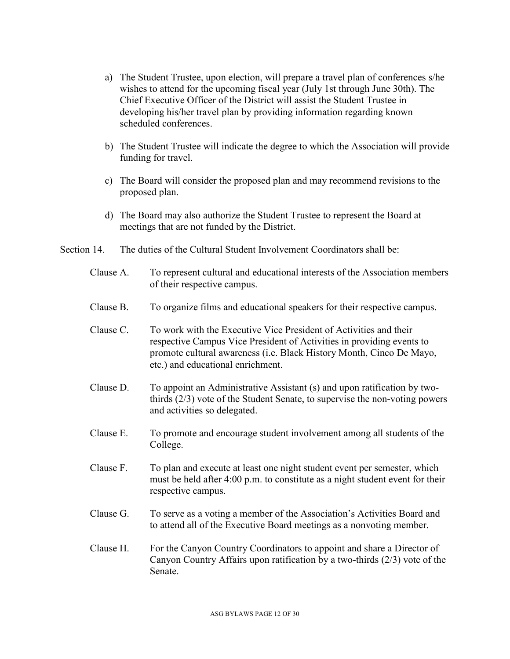- a) The Student Trustee, upon election, will prepare a travel plan of conferences s/he wishes to attend for the upcoming fiscal year (July 1st through June 30th). The Chief Executive Officer of the District will assist the Student Trustee in developing his/her travel plan by providing information regarding known scheduled conferences.
- b) The Student Trustee will indicate the degree to which the Association will provide funding for travel.
- c) The Board will consider the proposed plan and may recommend revisions to the proposed plan.
- d) The Board may also authorize the Student Trustee to represent the Board at meetings that are not funded by the District.
- Section 14. The duties of the Cultural Student Involvement Coordinators shall be:
	- Clause A. To represent cultural and educational interests of the Association members of their respective campus.
	- Clause B. To organize films and educational speakers for their respective campus.
	- Clause C. To work with the Executive Vice President of Activities and their respective Campus Vice President of Activities in providing events to promote cultural awareness (i.e. Black History Month, Cinco De Mayo, etc.) and educational enrichment.
	- Clause D. To appoint an Administrative Assistant (s) and upon ratification by twothirds (2/3) vote of the Student Senate, to supervise the non-voting powers and activities so delegated.
	- Clause E. To promote and encourage student involvement among all students of the College.
	- Clause F. To plan and execute at least one night student event per semester, which must be held after 4:00 p.m. to constitute as a night student event for their respective campus.
	- Clause G. To serve as a voting a member of the Association's Activities Board and to attend all of the Executive Board meetings as a nonvoting member.
	- Clause H. For the Canyon Country Coordinators to appoint and share a Director of Canyon Country Affairs upon ratification by a two-thirds (2/3) vote of the Senate.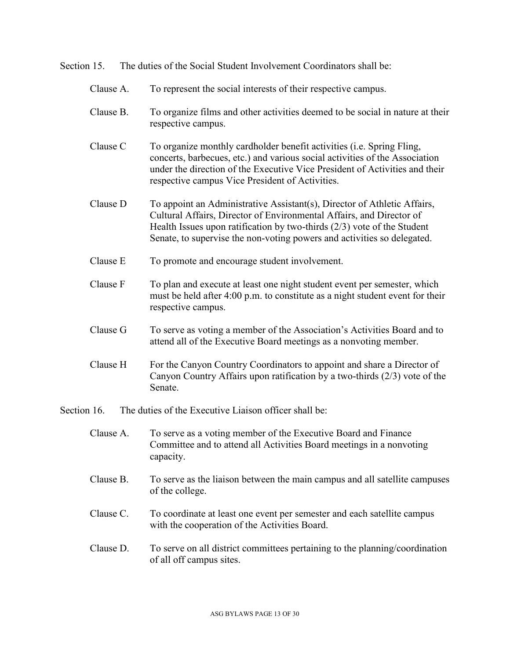Section 15. The duties of the Social Student Involvement Coordinators shall be:

- Clause A. To represent the social interests of their respective campus.
- Clause B. To organize films and other activities deemed to be social in nature at their respective campus.
- Clause C To organize monthly cardholder benefit activities (i.e. Spring Fling, concerts, barbecues, etc.) and various social activities of the Association under the direction of the Executive Vice President of Activities and their respective campus Vice President of Activities.
- Clause D To appoint an Administrative Assistant(s), Director of Athletic Affairs, Cultural Affairs, Director of Environmental Affairs, and Director of Health Issues upon ratification by two-thirds (2/3) vote of the Student Senate, to supervise the non-voting powers and activities so delegated.
- Clause E To promote and encourage student involvement.
- Clause F To plan and execute at least one night student event per semester, which must be held after 4:00 p.m. to constitute as a night student event for their respective campus.
- Clause G To serve as voting a member of the Association's Activities Board and to attend all of the Executive Board meetings as a nonvoting member.
- Clause H For the Canyon Country Coordinators to appoint and share a Director of Canyon Country Affairs upon ratification by a two-thirds (2/3) vote of the Senate.

Section 16. The duties of the Executive Liaison officer shall be:

- Clause A. To serve as a voting member of the Executive Board and Finance Committee and to attend all Activities Board meetings in a nonvoting capacity.
- Clause B. To serve as the liaison between the main campus and all satellite campuses of the college.
- Clause C. To coordinate at least one event per semester and each satellite campus with the cooperation of the Activities Board.
- Clause D. To serve on all district committees pertaining to the planning/coordination of all off campus sites.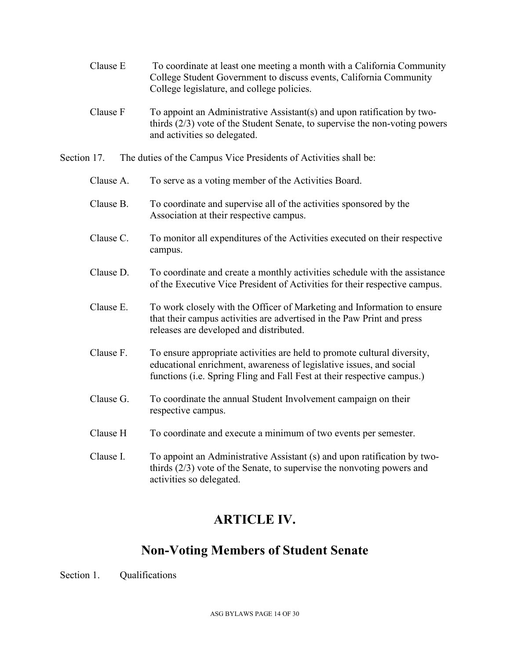- Clause E To coordinate at least one meeting a month with a California Community College Student Government to discuss events, California Community College legislature, and college policies.
- Clause  $F$  To appoint an Administrative Assistant(s) and upon ratification by twothirds (2/3) vote of the Student Senate, to supervise the non-voting powers and activities so delegated.
- Section 17. The duties of the Campus Vice Presidents of Activities shall be:
	- Clause A. To serve as a voting member of the Activities Board.
	- Clause B. To coordinate and supervise all of the activities sponsored by the Association at their respective campus.
	- Clause C. To monitor all expenditures of the Activities executed on their respective campus.
	- Clause D. To coordinate and create a monthly activities schedule with the assistance of the Executive Vice President of Activities for their respective campus.
	- Clause E. To work closely with the Officer of Marketing and Information to ensure that their campus activities are advertised in the Paw Print and press releases are developed and distributed.
	- Clause F. To ensure appropriate activities are held to promote cultural diversity, educational enrichment, awareness of legislative issues, and social functions (i.e. Spring Fling and Fall Fest at their respective campus.)
	- Clause G. To coordinate the annual Student Involvement campaign on their respective campus.
	- Clause H To coordinate and execute a minimum of two events per semester.
	- Clause I. To appoint an Administrative Assistant (s) and upon ratification by twothirds (2/3) vote of the Senate, to supervise the nonvoting powers and activities so delegated.

# **ARTICLE IV.**

# **Non-Voting Members of Student Senate**

Section 1. Oualifications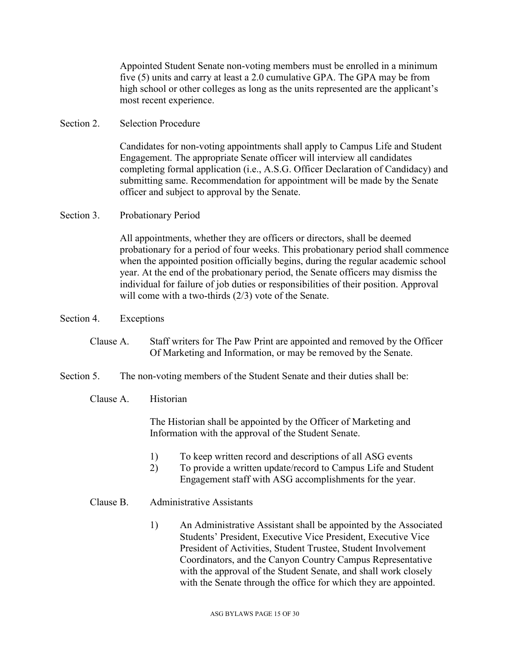Appointed Student Senate non-voting members must be enrolled in a minimum five (5) units and carry at least a 2.0 cumulative GPA. The GPA may be from high school or other colleges as long as the units represented are the applicant's most recent experience.

#### Section 2. Selection Procedure

Candidates for non-voting appointments shall apply to Campus Life and Student Engagement. The appropriate Senate officer will interview all candidates completing formal application (i.e., A.S.G. Officer Declaration of Candidacy) and submitting same. Recommendation for appointment will be made by the Senate officer and subject to approval by the Senate.

### Section 3. Probationary Period

All appointments, whether they are officers or directors, shall be deemed probationary for a period of four weeks. This probationary period shall commence when the appointed position officially begins, during the regular academic school year. At the end of the probationary period, the Senate officers may dismiss the individual for failure of job duties or responsibilities of their position. Approval will come with a two-thirds (2/3) vote of the Senate.

#### Section 4. Exceptions

### Clause A. Staff writers for The Paw Print are appointed and removed by the Officer Of Marketing and Information, or may be removed by the Senate.

#### Section 5. The non-voting members of the Student Senate and their duties shall be:

#### Clause A. Historian

The Historian shall be appointed by the Officer of Marketing and Information with the approval of the Student Senate.

- 1) To keep written record and descriptions of all ASG events
- 2) To provide a written update/record to Campus Life and Student Engagement staff with ASG accomplishments for the year.

### Clause B. Administrative Assistants

1) An Administrative Assistant shall be appointed by the Associated Students' President, Executive Vice President, Executive Vice President of Activities, Student Trustee, Student Involvement Coordinators, and the Canyon Country Campus Representative with the approval of the Student Senate, and shall work closely with the Senate through the office for which they are appointed.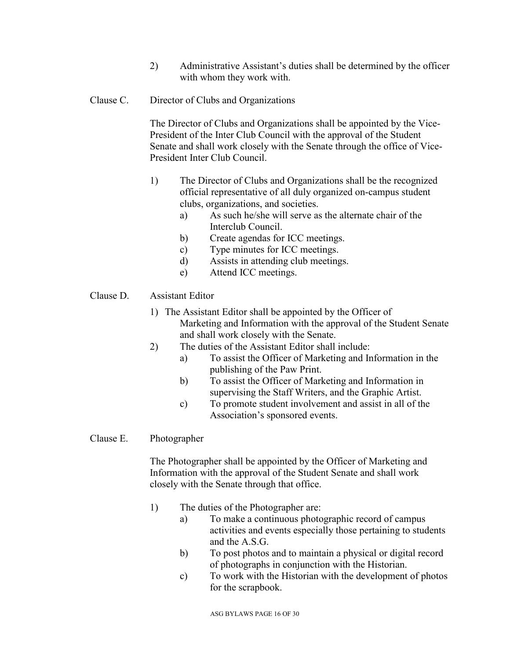2) Administrative Assistant's duties shall be determined by the officer with whom they work with.

### Clause C. Director of Clubs and Organizations

The Director of Clubs and Organizations shall be appointed by the Vice-President of the Inter Club Council with the approval of the Student Senate and shall work closely with the Senate through the office of Vice-President Inter Club Council.

- 1) The Director of Clubs and Organizations shall be the recognized official representative of all duly organized on-campus student clubs, organizations, and societies.
	- a) As such he/she will serve as the alternate chair of the Interclub Council.
	- b) Create agendas for ICC meetings.
	- c) Type minutes for ICC meetings.
	- d) Assists in attending club meetings.
	- e) Attend ICC meetings.

### Clause D. Assistant Editor

- 1) The Assistant Editor shall be appointed by the Officer of Marketing and Information with the approval of the Student Senate and shall work closely with the Senate.
- 2) The duties of the Assistant Editor shall include:
	- a) To assist the Officer of Marketing and Information in the publishing of the Paw Print.
	- b) To assist the Officer of Marketing and Information in supervising the Staff Writers, and the Graphic Artist.
	- c) To promote student involvement and assist in all of the Association's sponsored events.

### Clause E. Photographer

The Photographer shall be appointed by the Officer of Marketing and Information with the approval of the Student Senate and shall work closely with the Senate through that office.

- 1) The duties of the Photographer are:
	- a) To make a continuous photographic record of campus activities and events especially those pertaining to students and the A.S.G.
	- b) To post photos and to maintain a physical or digital record of photographs in conjunction with the Historian.
	- c) To work with the Historian with the development of photos for the scrapbook.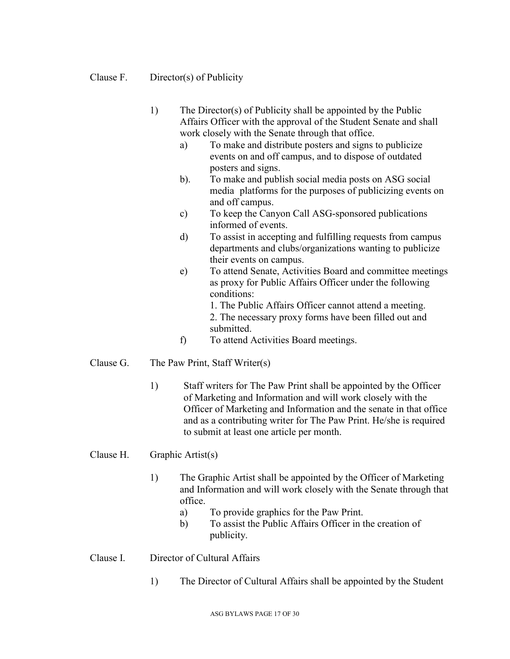### Clause F. Director(s) of Publicity

- 1) The Director(s) of Publicity shall be appointed by the Public Affairs Officer with the approval of the Student Senate and shall work closely with the Senate through that office.
	- a) To make and distribute posters and signs to publicize events on and off campus, and to dispose of outdated posters and signs.
	- b). To make and publish social media posts on ASG social media platforms for the purposes of publicizing events on and off campus.
	- c) To keep the Canyon Call ASG-sponsored publications informed of events.
	- d) To assist in accepting and fulfilling requests from campus departments and clubs/organizations wanting to publicize their events on campus.
	- e) To attend Senate, Activities Board and committee meetings as proxy for Public Affairs Officer under the following conditions:

1. The Public Affairs Officer cannot attend a meeting. 2. The necessary proxy forms have been filled out and submitted.

f) To attend Activities Board meetings.

### Clause G. The Paw Print, Staff Writer(s)

1) Staff writers for The Paw Print shall be appointed by the Officer of Marketing and Information and will work closely with the Officer of Marketing and Information and the senate in that office and as a contributing writer for The Paw Print. He/she is required to submit at least one article per month.

### Clause H. Graphic Artist(s)

- 1) The Graphic Artist shall be appointed by the Officer of Marketing and Information and will work closely with the Senate through that office.
	- a) To provide graphics for the Paw Print.
	- b) To assist the Public Affairs Officer in the creation of publicity.

### Clause I. Director of Cultural Affairs

1) The Director of Cultural Affairs shall be appointed by the Student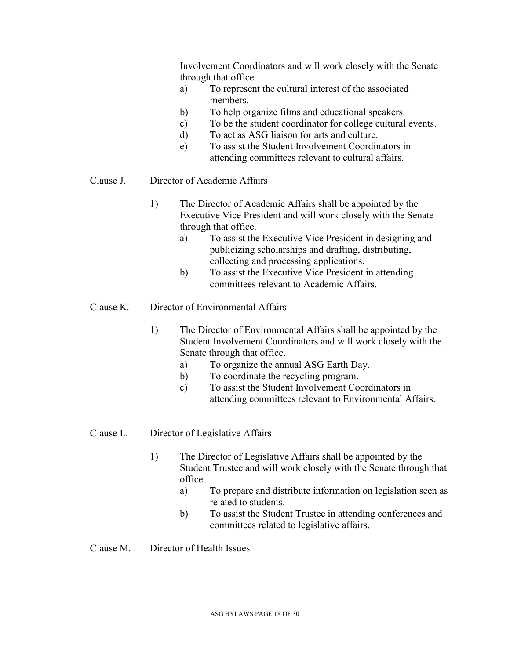Involvement Coordinators and will work closely with the Senate through that office.

- a) To represent the cultural interest of the associated members.
- b) To help organize films and educational speakers.
- c) To be the student coordinator for college cultural events.
- d) To act as ASG liaison for arts and culture.
- e) To assist the Student Involvement Coordinators in attending committees relevant to cultural affairs.

### Clause J. Director of Academic Affairs

- 1) The Director of Academic Affairs shall be appointed by the Executive Vice President and will work closely with the Senate through that office.
	- a) To assist the Executive Vice President in designing and publicizing scholarships and drafting, distributing, collecting and processing applications.
	- b) To assist the Executive Vice President in attending committees relevant to Academic Affairs.

### Clause K. Director of Environmental Affairs

- 1) The Director of Environmental Affairs shall be appointed by the Student Involvement Coordinators and will work closely with the Senate through that office.
	- a) To organize the annual ASG Earth Day.
	- b) To coordinate the recycling program.
	- c) To assist the Student Involvement Coordinators in attending committees relevant to Environmental Affairs.

#### Clause L. Director of Legislative Affairs

- 1) The Director of Legislative Affairs shall be appointed by the Student Trustee and will work closely with the Senate through that office.
	- a) To prepare and distribute information on legislation seen as related to students.
	- b) To assist the Student Trustee in attending conferences and committees related to legislative affairs.
- Clause M. Director of Health Issues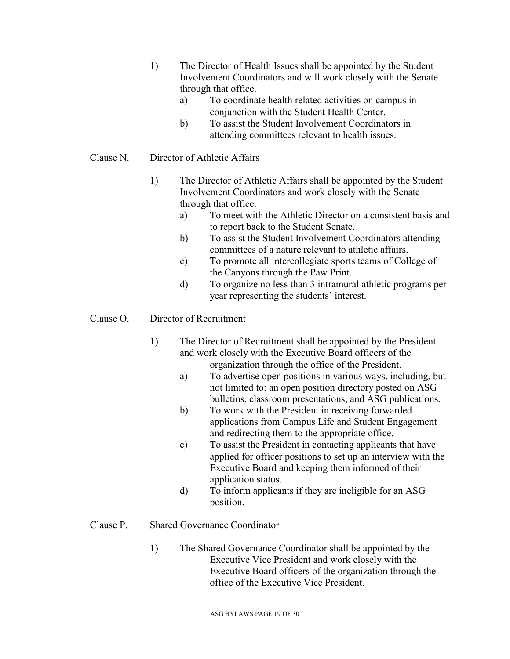- 1) The Director of Health Issues shall be appointed by the Student Involvement Coordinators and will work closely with the Senate through that office.
	- a) To coordinate health related activities on campus in conjunction with the Student Health Center.
	- b) To assist the Student Involvement Coordinators in attending committees relevant to health issues.

### Clause N. Director of Athletic Affairs

- 1) The Director of Athletic Affairs shall be appointed by the Student Involvement Coordinators and work closely with the Senate through that office.
	- a) To meet with the Athletic Director on a consistent basis and to report back to the Student Senate.
	- b) To assist the Student Involvement Coordinators attending committees of a nature relevant to athletic affairs.
	- c) To promote all intercollegiate sports teams of College of the Canyons through the Paw Print.
	- d) To organize no less than 3 intramural athletic programs per year representing the students' interest.

### Clause O. Director of Recruitment

- 1) The Director of Recruitment shall be appointed by the President and work closely with the Executive Board officers of the organization through the office of the President.
	- a) To advertise open positions in various ways, including, but not limited to: an open position directory posted on ASG bulletins, classroom presentations, and ASG publications.
	- b) To work with the President in receiving forwarded applications from Campus Life and Student Engagement and redirecting them to the appropriate office.
	- c) To assist the President in contacting applicants that have applied for officer positions to set up an interview with the Executive Board and keeping them informed of their application status.
	- d) To inform applicants if they are ineligible for an ASG position.

### Clause P. Shared Governance Coordinator

1) The Shared Governance Coordinator shall be appointed by the Executive Vice President and work closely with the Executive Board officers of the organization through the office of the Executive Vice President.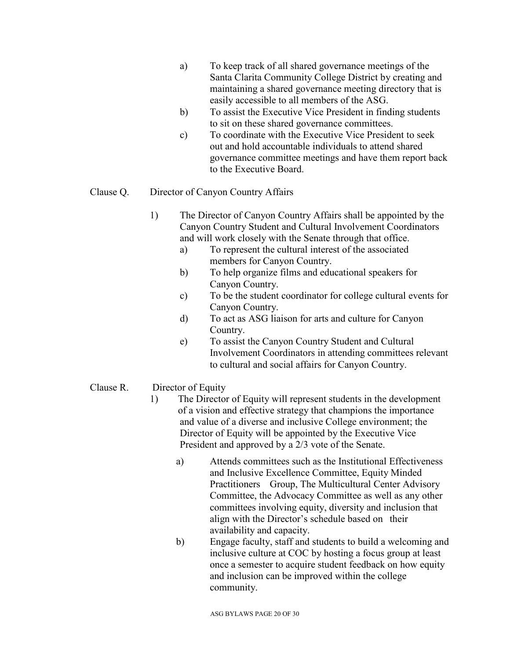- a) To keep track of all shared governance meetings of the Santa Clarita Community College District by creating and maintaining a shared governance meeting directory that is easily accessible to all members of the ASG.
- b) To assist the Executive Vice President in finding students to sit on these shared governance committees.
- c) To coordinate with the Executive Vice President to seek out and hold accountable individuals to attend shared governance committee meetings and have them report back to the Executive Board.

### Clause Q. Director of Canyon Country Affairs

- 1) The Director of Canyon Country Affairs shall be appointed by the Canyon Country Student and Cultural Involvement Coordinators and will work closely with the Senate through that office.
	- a) To represent the cultural interest of the associated members for Canyon Country.
	- b) To help organize films and educational speakers for Canyon Country.
	- c) To be the student coordinator for college cultural events for Canyon Country.
	- d) To act as ASG liaison for arts and culture for Canyon Country.
	- e) To assist the Canyon Country Student and Cultural Involvement Coordinators in attending committees relevant to cultural and social affairs for Canyon Country.

### Clause R. Director of Equity

- 1) The Director of Equity will represent students in the development of a vision and effective strategy that champions the importance and value of a diverse and inclusive College environment; the Director of Equity will be appointed by the Executive Vice President and approved by a 2/3 vote of the Senate.
	- a) Attends committees such as the Institutional Effectiveness and Inclusive Excellence Committee, Equity Minded Practitioners Group, The Multicultural Center Advisory Committee, the Advocacy Committee as well as any other committees involving equity, diversity and inclusion that align with the Director's schedule based on their availability and capacity.
	- b) Engage faculty, staff and students to build a welcoming and inclusive culture at COC by hosting a focus group at least once a semester to acquire student feedback on how equity and inclusion can be improved within the college community.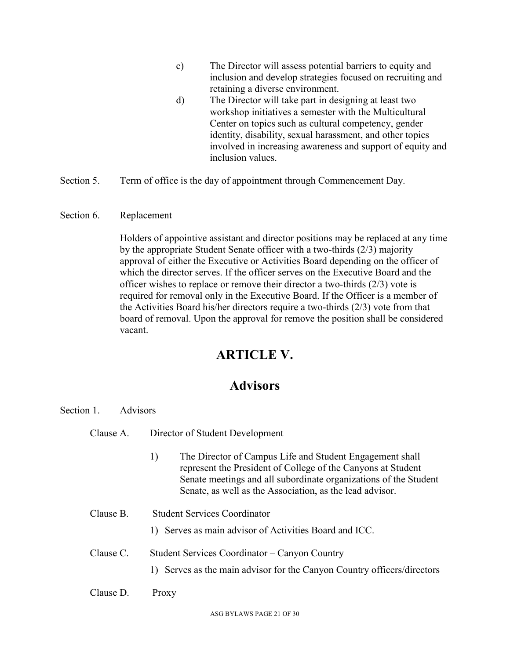- c) The Director will assess potential barriers to equity and inclusion and develop strategies focused on recruiting and retaining a diverse environment.
- d) The Director will take part in designing at least two workshop initiatives a semester with the Multicultural Center on topics such as cultural competency, gender identity, disability, sexual harassment, and other topics involved in increasing awareness and support of equity and inclusion values.
- Section 5. Term of office is the day of appointment through Commencement Day.
- Section 6. Replacement

Holders of appointive assistant and director positions may be replaced at any time by the appropriate Student Senate officer with a two-thirds (2/3) majority approval of either the Executive or Activities Board depending on the officer of which the director serves. If the officer serves on the Executive Board and the officer wishes to replace or remove their director a two-thirds (2/3) vote is required for removal only in the Executive Board. If the Officer is a member of the Activities Board his/her directors require a two-thirds (2/3) vote from that board of removal. Upon the approval for remove the position shall be considered vacant.

### **ARTICLE V.**

### **Advisors**

| Section 1.<br>Advisors |                                                                                                                                                                                                                                                                |
|------------------------|----------------------------------------------------------------------------------------------------------------------------------------------------------------------------------------------------------------------------------------------------------------|
| Clause A.              | Director of Student Development                                                                                                                                                                                                                                |
|                        | The Director of Campus Life and Student Engagement shall<br>1)<br>represent the President of College of the Canyons at Student<br>Senate meetings and all subordinate organizations of the Student<br>Senate, as well as the Association, as the lead advisor. |
| Clause B.              | <b>Student Services Coordinator</b>                                                                                                                                                                                                                            |
|                        | Serves as main advisor of Activities Board and ICC.<br>$\Box$                                                                                                                                                                                                  |
| Clause C.              | Student Services Coordinator – Canyon Country                                                                                                                                                                                                                  |
|                        | 1) Serves as the main advisor for the Canyon Country officers/directors                                                                                                                                                                                        |
| Clause D.              | Proxy                                                                                                                                                                                                                                                          |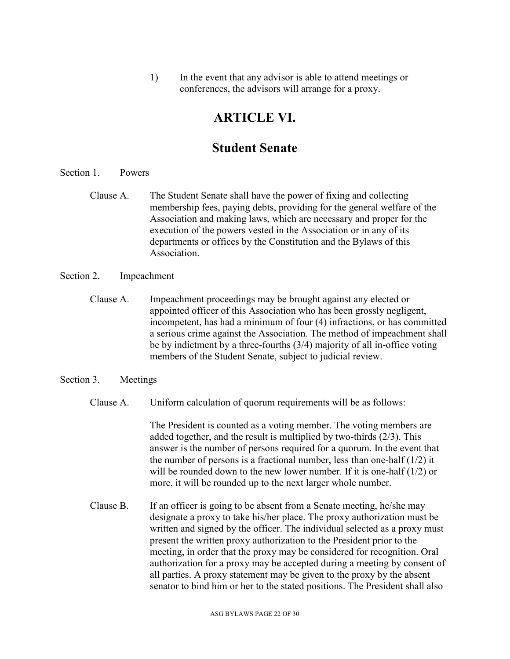1) In the event that any advisor is able to attend meetings or conferences, the advisors will arrange for a proxy.

### **ARTICLE VI.**

### **Student Senate**

- Section 1. Powers
	- Clause A. The Student Senate shall have the power of fixing and collecting membership fees, paying debts, providing for the general welfare of the Association and making laws, which are necessary and proper for the execution of the powers vested in the Association or in any of its departments or offices by the Constitution and the Bylaws of this Association.

### Section 2. Impeachment

Clause A. Impeachment proceedings may be brought against any elected or appointed officer of this Association who has been grossly negligent, incompetent, has had a minimum of four (4) infractions, or has committed a serious crime against the Association. The method of impeachment shall be by indictment by a three-fourths (3/4) majority of all in-office voting members of the Student Senate, subject to judicial review.

#### Section 3. Meetings

Clause A. Uniform calculation of quorum requirements will be as follows:

The President is counted as a voting member. The voting members are added together, and the result is multiplied by two-thirds (2/3). This answer is the number of persons required for a quorum. In the event that the number of persons is a fractional number, less than one-half  $(1/2)$  it will be rounded down to the new lower number. If it is one-half (1/2) or more, it will be rounded up to the next larger whole number.

Clause B. If an officer is going to be absent from a Senate meeting, he/she may designate a proxy to take his/her place. The proxy authorization must be written and signed by the officer. The individual selected as a proxy must present the written proxy authorization to the President prior to the meeting, in order that the proxy may be considered for recognition. Oral authorization for a proxy may be accepted during a meeting by consent of all parties. A proxy statement may be given to the proxy by the absent senator to bind him or her to the stated positions. The President shall also

ASG BYLAWS PAGE 22 OF 30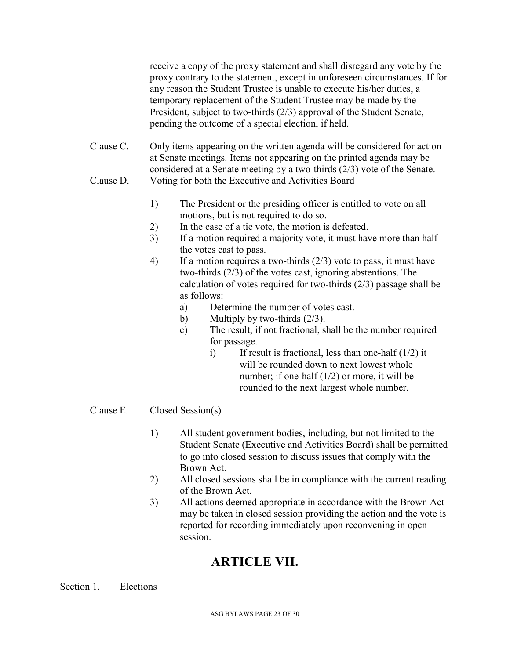receive a copy of the proxy statement and shall disregard any vote by the proxy contrary to the statement, except in unforeseen circumstances. If for any reason the Student Trustee is unable to execute his/her duties, a temporary replacement of the Student Trustee may be made by the President, subject to two-thirds (2/3) approval of the Student Senate, pending the outcome of a special election, if held.

- Clause C. Only items appearing on the written agenda will be considered for action at Senate meetings. Items not appearing on the printed agenda may be considered at a Senate meeting by a two-thirds (2/3) vote of the Senate. Clause D. Voting for both the Executive and Activities Board
	- 1) The President or the presiding officer is entitled to vote on all motions, but is not required to do so.
	- 2) In the case of a tie vote, the motion is defeated.
	- 3) If a motion required a majority vote, it must have more than half the votes cast to pass.
	- 4) If a motion requires a two-thirds (2/3) vote to pass, it must have two-thirds (2/3) of the votes cast, ignoring abstentions. The calculation of votes required for two-thirds (2/3) passage shall be as follows:
		- a) Determine the number of votes cast.
		- b) Multiply by two-thirds  $(2/3)$ .
		- c) The result, if not fractional, shall be the number required for passage.
			- i) If result is fractional, less than one-half  $(1/2)$  it will be rounded down to next lowest whole number; if one-half  $(1/2)$  or more, it will be rounded to the next largest whole number.

### Clause E. Closed Session(s)

- 1) All student government bodies, including, but not limited to the Student Senate (Executive and Activities Board) shall be permitted to go into closed session to discuss issues that comply with the Brown Act.
- 2) All closed sessions shall be in compliance with the current reading of the Brown Act.
- 3) All actions deemed appropriate in accordance with the Brown Act may be taken in closed session providing the action and the vote is reported for recording immediately upon reconvening in open session.

# **ARTICLE VII.**

Section 1. Elections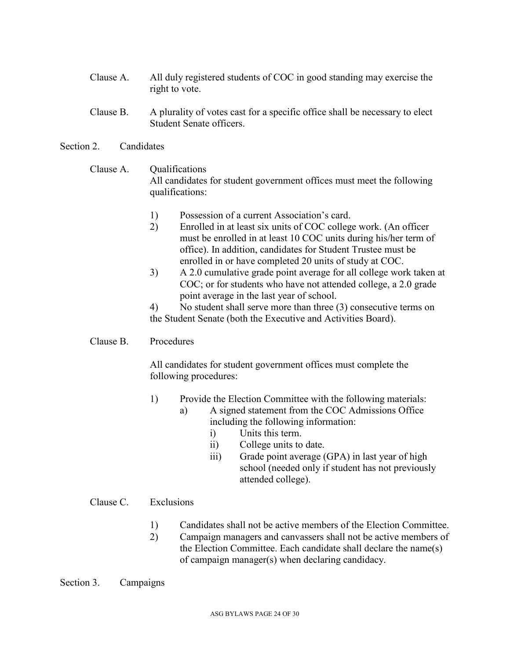- Clause A. All duly registered students of COC in good standing may exercise the right to vote.
- Clause B. A plurality of votes cast for a specific office shall be necessary to elect Student Senate officers.

### Section 2. Candidates

### Clause A. Oualifications All candidates for student government offices must meet the following qualifications:

- 1) Possession of a current Association's card.
- 2) Enrolled in at least six units of COC college work. (An officer must be enrolled in at least 10 COC units during his/her term of office). In addition, candidates for Student Trustee must be enrolled in or have completed 20 units of study at COC.
- 3) A 2.0 cumulative grade point average for all college work taken at COC; or for students who have not attended college, a 2.0 grade point average in the last year of school.
- 4) No student shall serve more than three (3) consecutive terms on the Student Senate (both the Executive and Activities Board).

### Clause B. Procedures

All candidates for student government offices must complete the following procedures:

- 1) Provide the Election Committee with the following materials: a) A signed statement from the COC Admissions Office including the following information:
	- i) Units this term.
	- ii) College units to date.
	- iii) Grade point average (GPA) in last year of high school (needed only if student has not previously attended college).

### Clause C. Exclusions

- 1) Candidates shall not be active members of the Election Committee.
- 2) Campaign managers and canvassers shall not be active members of the Election Committee. Each candidate shall declare the name(s) of campaign manager(s) when declaring candidacy.

### Section 3. Campaigns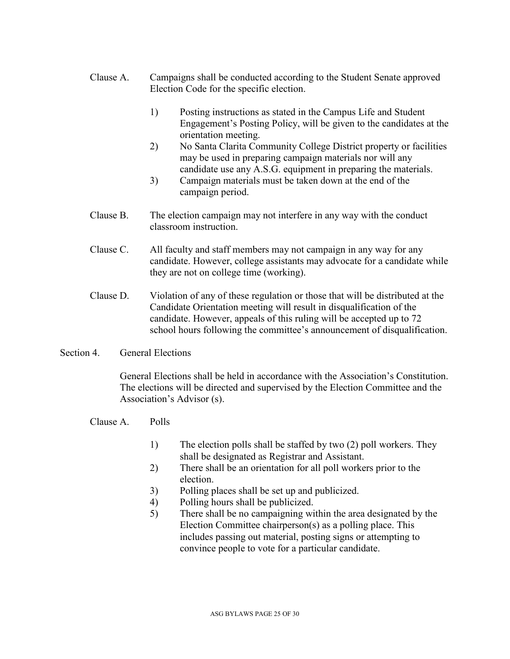- Clause A. Campaigns shall be conducted according to the Student Senate approved Election Code for the specific election.
	- 1) Posting instructions as stated in the Campus Life and Student Engagement's Posting Policy, will be given to the candidates at the orientation meeting.
	- 2) No Santa Clarita Community College District property or facilities may be used in preparing campaign materials nor will any candidate use any A.S.G. equipment in preparing the materials.
	- 3) Campaign materials must be taken down at the end of the campaign period.
- Clause B. The election campaign may not interfere in any way with the conduct classroom instruction.
- Clause C. All faculty and staff members may not campaign in any way for any candidate. However, college assistants may advocate for a candidate while they are not on college time (working).
- Clause D. Violation of any of these regulation or those that will be distributed at the Candidate Orientation meeting will result in disqualification of the candidate. However, appeals of this ruling will be accepted up to 72 school hours following the committee's announcement of disqualification.

### Section 4. General Elections

General Elections shall be held in accordance with the Association's Constitution. The elections will be directed and supervised by the Election Committee and the Association's Advisor (s).

- Clause A. Polls
	- 1) The election polls shall be staffed by two (2) poll workers. They shall be designated as Registrar and Assistant.
	- 2) There shall be an orientation for all poll workers prior to the election.
	- 3) Polling places shall be set up and publicized.
	- 4) Polling hours shall be publicized.
	- 5) There shall be no campaigning within the area designated by the Election Committee chairperson(s) as a polling place. This includes passing out material, posting signs or attempting to convince people to vote for a particular candidate.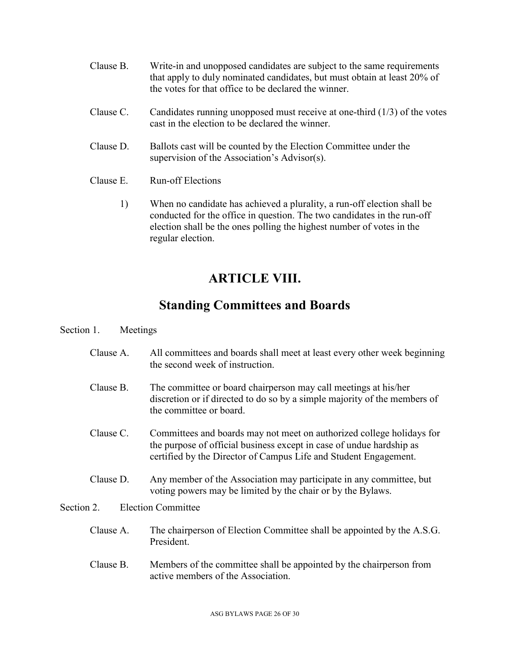- Clause B. Write-in and unopposed candidates are subject to the same requirements that apply to duly nominated candidates, but must obtain at least 20% of the votes for that office to be declared the winner.
- Clause C. Candidates running unopposed must receive at one-third (1/3) of the votes cast in the election to be declared the winner.
- Clause D. Ballots cast will be counted by the Election Committee under the supervision of the Association's Advisor(s).
- Clause E. Run-off Elections
	- 1) When no candidate has achieved a plurality, a run-off election shall be conducted for the office in question. The two candidates in the run-off election shall be the ones polling the highest number of votes in the regular election.

# **ARTICLE VIII.**

## **Standing Committees and Boards**

### Section 1. Meetings

- Clause A. All committees and boards shall meet at least every other week beginning the second week of instruction.
- Clause B. The committee or board chairperson may call meetings at his/her discretion or if directed to do so by a simple majority of the members of the committee or board.
- Clause C. Committees and boards may not meet on authorized college holidays for the purpose of official business except in case of undue hardship as certified by the Director of Campus Life and Student Engagement.
- Clause D. Any member of the Association may participate in any committee, but voting powers may be limited by the chair or by the Bylaws.

### Section 2. Election Committee

- Clause A. The chairperson of Election Committee shall be appointed by the A.S.G. President.
- Clause B. Members of the committee shall be appointed by the chairperson from active members of the Association.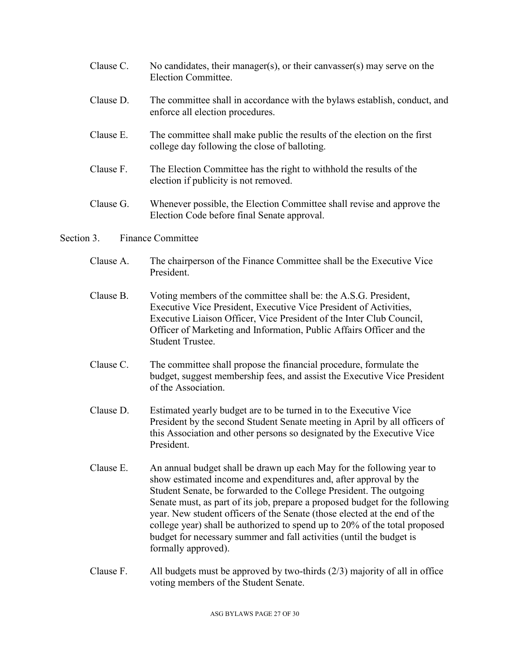- Clause C. No candidates, their manager(s), or their canvasser(s) may serve on the Election Committee.
- Clause D. The committee shall in accordance with the bylaws establish, conduct, and enforce all election procedures.
- Clause E. The committee shall make public the results of the election on the first college day following the close of balloting.
- Clause F. The Election Committee has the right to withhold the results of the election if publicity is not removed.
- Clause G. Whenever possible, the Election Committee shall revise and approve the Election Code before final Senate approval.

### Section 3. Finance Committee

- Clause A. The chairperson of the Finance Committee shall be the Executive Vice President.
- Clause B. Voting members of the committee shall be: the A.S.G. President, Executive Vice President, Executive Vice President of Activities, Executive Liaison Officer, Vice President of the Inter Club Council, Officer of Marketing and Information, Public Affairs Officer and the Student Trustee.
- Clause C. The committee shall propose the financial procedure, formulate the budget, suggest membership fees, and assist the Executive Vice President of the Association.
- Clause D. Estimated yearly budget are to be turned in to the Executive Vice President by the second Student Senate meeting in April by all officers of this Association and other persons so designated by the Executive Vice President.
- Clause E. An annual budget shall be drawn up each May for the following year to show estimated income and expenditures and, after approval by the Student Senate, be forwarded to the College President. The outgoing Senate must, as part of its job, prepare a proposed budget for the following year. New student officers of the Senate (those elected at the end of the college year) shall be authorized to spend up to 20% of the total proposed budget for necessary summer and fall activities (until the budget is formally approved).
- Clause F. All budgets must be approved by two-thirds  $(2/3)$  majority of all in office voting members of the Student Senate.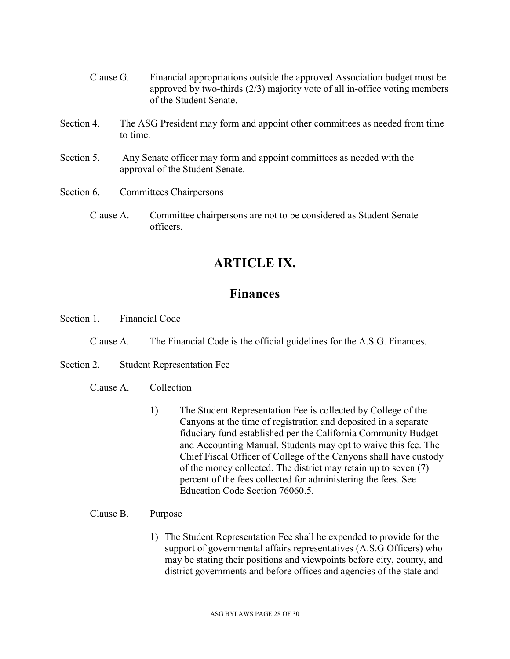- Clause G. Financial appropriations outside the approved Association budget must be approved by two-thirds (2/3) majority vote of all in-office voting members of the Student Senate.
- Section 4. The ASG President may form and appoint other committees as needed from time to time.
- Section 5. Any Senate officer may form and appoint committees as needed with the approval of the Student Senate.
- Section 6. Committees Chairpersons
	- Clause A. Committee chairpersons are not to be considered as Student Senate officers.

### **ARTICLE IX.**

### **Finances**

Section 1. Financial Code

- Clause A. The Financial Code is the official guidelines for the A.S.G. Finances.
- Section 2. Student Representation Fee

### Clause A. Collection

1) The Student Representation Fee is collected by College of the Canyons at the time of registration and deposited in a separate fiduciary fund established per the California Community Budget and Accounting Manual. Students may opt to waive this fee. The Chief Fiscal Officer of College of the Canyons shall have custody of the money collected. The district may retain up to seven (7) percent of the fees collected for administering the fees. See Education Code Section 76060.5.

### Clause B. Purpose

1) The Student Representation Fee shall be expended to provide for the support of governmental affairs representatives (A.S.G Officers) who may be stating their positions and viewpoints before city, county, and district governments and before offices and agencies of the state and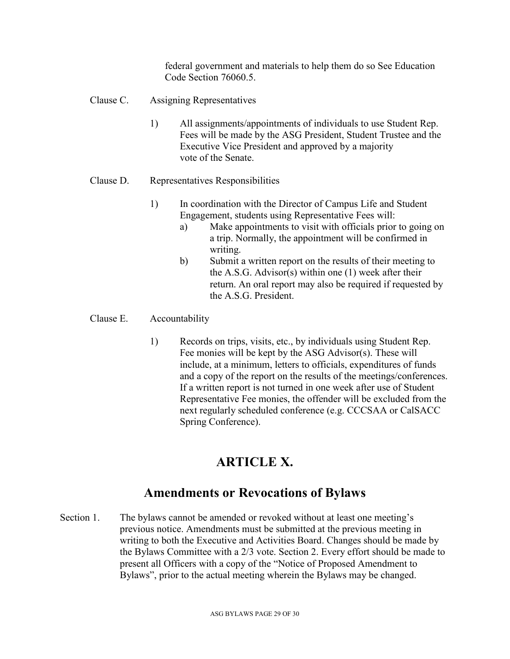federal government and materials to help them do so See Education Code Section 76060.5.

- Clause C. Assigning Representatives
	- 1) All assignments/appointments of individuals to use Student Rep. Fees will be made by the ASG President, Student Trustee and the Executive Vice President and approved by a majority vote of the Senate.
- Clause D. Representatives Responsibilities
	- 1) In coordination with the Director of Campus Life and Student Engagement, students using Representative Fees will:
		- a) Make appointments to visit with officials prior to going on a trip. Normally, the appointment will be confirmed in writing.
		- b) Submit a written report on the results of their meeting to the A.S.G. Advisor(s) within one (1) week after their return. An oral report may also be required if requested by the A.S.G. President.

### Clause E. Accountability

1) Records on trips, visits, etc., by individuals using Student Rep. Fee monies will be kept by the ASG Advisor(s). These will include, at a minimum, letters to officials, expenditures of funds and a copy of the report on the results of the meetings/conferences. If a written report is not turned in one week after use of Student Representative Fee monies, the offender will be excluded from the next regularly scheduled conference (e.g. CCCSAA or CalSACC Spring Conference).

# **ARTICLE X.**

### **Amendments or Revocations of Bylaws**

Section 1. The bylaws cannot be amended or revoked without at least one meeting's previous notice. Amendments must be submitted at the previous meeting in writing to both the Executive and Activities Board. Changes should be made by the Bylaws Committee with a 2/3 vote. Section 2. Every effort should be made to present all Officers with a copy of the "Notice of Proposed Amendment to Bylaws", prior to the actual meeting wherein the Bylaws may be changed.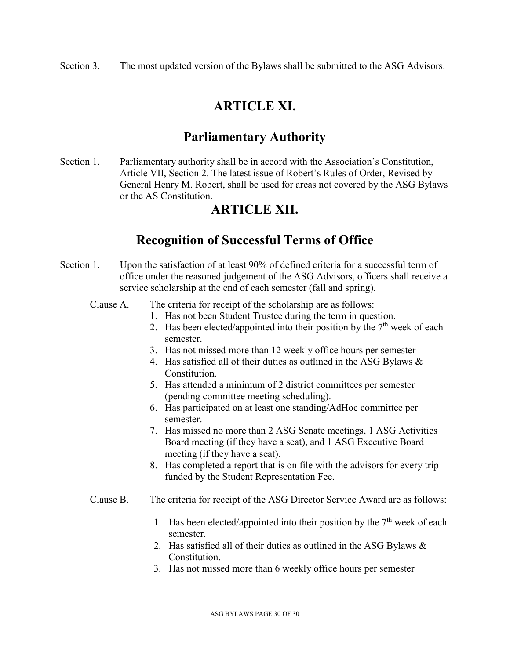Section 3. The most updated version of the Bylaws shall be submitted to the ASG Advisors.

# **ARTICLE XI.**

## **Parliamentary Authority**

Section 1. Parliamentary authority shall be in accord with the Association's Constitution, Article VII, Section 2. The latest issue of Robert's Rules of Order, Revised by General Henry M. Robert, shall be used for areas not covered by the ASG Bylaws or the AS Constitution.

### **ARTICLE XII.**

## **Recognition of Successful Terms of Office**

- Section 1. Upon the satisfaction of at least 90% of defined criteria for a successful term of office under the reasoned judgement of the ASG Advisors, officers shall receive a service scholarship at the end of each semester (fall and spring).
	- Clause A. The criteria for receipt of the scholarship are as follows:
		- 1. Has not been Student Trustee during the term in question.
		- 2. Has been elected/appointed into their position by the  $7<sup>th</sup>$  week of each semester.
		- 3. Has not missed more than 12 weekly office hours per semester
		- 4. Has satisfied all of their duties as outlined in the ASG Bylaws & Constitution.
		- 5. Has attended a minimum of 2 district committees per semester (pending committee meeting scheduling).
		- 6. Has participated on at least one standing/AdHoc committee per semester.
		- 7. Has missed no more than 2 ASG Senate meetings, 1 ASG Activities Board meeting (if they have a seat), and 1 ASG Executive Board meeting (if they have a seat).
		- 8. Has completed a report that is on file with the advisors for every trip funded by the Student Representation Fee.
	- Clause B. The criteria for receipt of the ASG Director Service Award are as follows:
		- 1. Has been elected/appointed into their position by the  $7<sup>th</sup>$  week of each semester.
		- 2. Has satisfied all of their duties as outlined in the ASG Bylaws & Constitution.
		- 3. Has not missed more than 6 weekly office hours per semester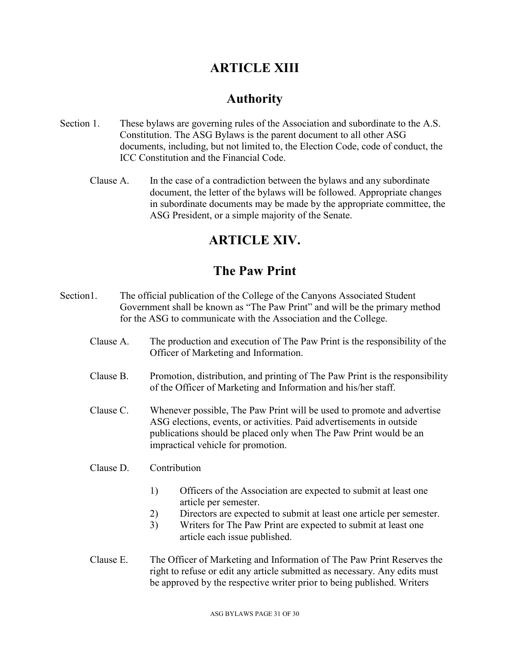# **ARTICLE XIII**

# **Authority**

- Section 1. These bylaws are governing rules of the Association and subordinate to the A.S. Constitution. The ASG Bylaws is the parent document to all other ASG documents, including, but not limited to, the Election Code, code of conduct, the ICC Constitution and the Financial Code.
	- Clause A. In the case of a contradiction between the bylaws and any subordinate document, the letter of the bylaws will be followed. Appropriate changes in subordinate documents may be made by the appropriate committee, the ASG President, or a simple majority of the Senate.

# **ARTICLE XIV.**

# **The Paw Print**

- Section1. The official publication of the College of the Canyons Associated Student Government shall be known as "The Paw Print" and will be the primary method for the ASG to communicate with the Association and the College.
	- Clause A. The production and execution of The Paw Print is the responsibility of the Officer of Marketing and Information.
	- Clause B. Promotion, distribution, and printing of The Paw Print is the responsibility of the Officer of Marketing and Information and his/her staff.
	- Clause C. Whenever possible, The Paw Print will be used to promote and advertise ASG elections, events, or activities. Paid advertisements in outside publications should be placed only when The Paw Print would be an impractical vehicle for promotion.
	- Clause D. Contribution
		- 1) Officers of the Association are expected to submit at least one article per semester.
		- 2) Directors are expected to submit at least one article per semester.
		- 3) Writers for The Paw Print are expected to submit at least one article each issue published.
	- Clause E. The Officer of Marketing and Information of The Paw Print Reserves the right to refuse or edit any article submitted as necessary. Any edits must be approved by the respective writer prior to being published. Writers